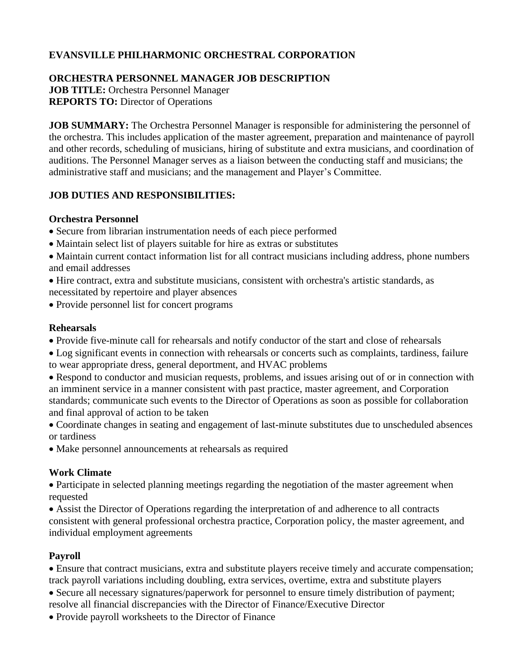# **EVANSVILLE PHILHARMONIC ORCHESTRAL CORPORATION**

### **ORCHESTRA PERSONNEL MANAGER JOB DESCRIPTION**

**JOB TITLE:** Orchestra Personnel Manager **REPORTS TO:** Director of Operations

**JOB SUMMARY:** The Orchestra Personnel Manager is responsible for administering the personnel of the orchestra. This includes application of the master agreement, preparation and maintenance of payroll and other records, scheduling of musicians, hiring of substitute and extra musicians, and coordination of auditions. The Personnel Manager serves as a liaison between the conducting staff and musicians; the administrative staff and musicians; and the management and Player's Committee.

# **JOB DUTIES AND RESPONSIBILITIES:**

### **Orchestra Personnel**

- Secure from librarian instrumentation needs of each piece performed
- Maintain select list of players suitable for hire as extras or substitutes

• Maintain current contact information list for all contract musicians including address, phone numbers and email addresses

• Hire contract, extra and substitute musicians, consistent with orchestra's artistic standards, as necessitated by repertoire and player absences

• Provide personnel list for concert programs

#### **Rehearsals**

• Provide five-minute call for rehearsals and notify conductor of the start and close of rehearsals

• Log significant events in connection with rehearsals or concerts such as complaints, tardiness, failure to wear appropriate dress, general deportment, and HVAC problems

• Respond to conductor and musician requests, problems, and issues arising out of or in connection with an imminent service in a manner consistent with past practice, master agreement, and Corporation standards; communicate such events to the Director of Operations as soon as possible for collaboration and final approval of action to be taken

• Coordinate changes in seating and engagement of last-minute substitutes due to unscheduled absences or tardiness

• Make personnel announcements at rehearsals as required

### **Work Climate**

• Participate in selected planning meetings regarding the negotiation of the master agreement when requested

• Assist the Director of Operations regarding the interpretation of and adherence to all contracts consistent with general professional orchestra practice, Corporation policy, the master agreement, and individual employment agreements

# **Payroll**

• Ensure that contract musicians, extra and substitute players receive timely and accurate compensation; track payroll variations including doubling, extra services, overtime, extra and substitute players

• Secure all necessary signatures/paperwork for personnel to ensure timely distribution of payment; resolve all financial discrepancies with the Director of Finance/Executive Director

• Provide payroll worksheets to the Director of Finance